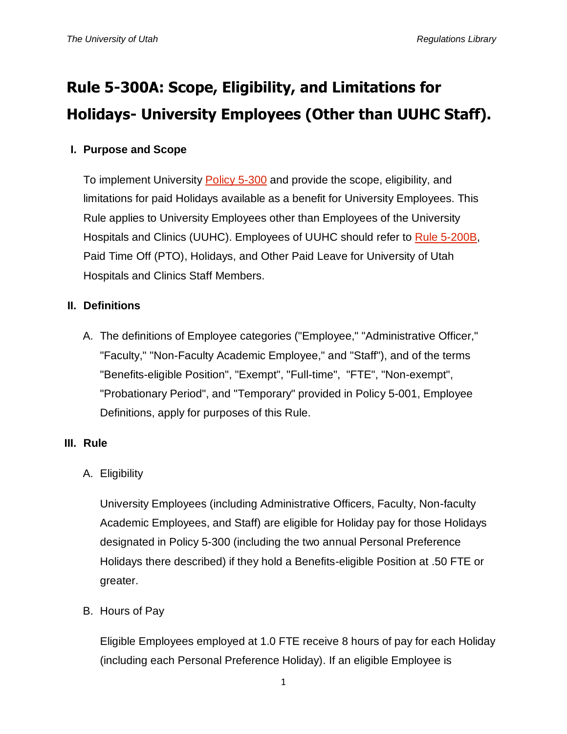# **Rule 5-300A: Scope, Eligibility, and Limitations for Holidays- University Employees (Other than UUHC Staff).**

### **I. Purpose and Scope**

To implement University [Policy 5-300](http://regulations.utah.edu/human-resources/5-300.php) and provide the scope, eligibility, and limitations for paid Holidays available as a benefit for University Employees. This Rule applies to University Employees other than Employees of the University Hospitals and Clinics (UUHC). Employees of UUHC should refer to [Rule 5-200B,](http://regulations.utah.edu/human-resources/rules/rule_5-200B.php) Paid Time Off (PTO), Holidays, and Other Paid Leave for University of Utah Hospitals and Clinics Staff Members.

#### **II. Definitions**

A. The definitions of Employee categories ("Employee," "Administrative Officer," "Faculty," "Non-Faculty Academic Employee," and "Staff"), and of the terms "Benefits-eligible Position", "Exempt", "Full-time", "FTE", "Non-exempt", "Probationary Period", and "Temporary" provided in Policy 5-001, Employee Definitions, apply for purposes of this Rule.

#### **III. Rule**

## A. Eligibility

University Employees (including Administrative Officers, Faculty, Non-faculty Academic Employees, and Staff) are eligible for Holiday pay for those Holidays designated in Policy 5-300 (including the two annual Personal Preference Holidays there described) if they hold a Benefits-eligible Position at .50 FTE or greater.

B. Hours of Pay

Eligible Employees employed at 1.0 FTE receive 8 hours of pay for each Holiday (including each Personal Preference Holiday). If an eligible Employee is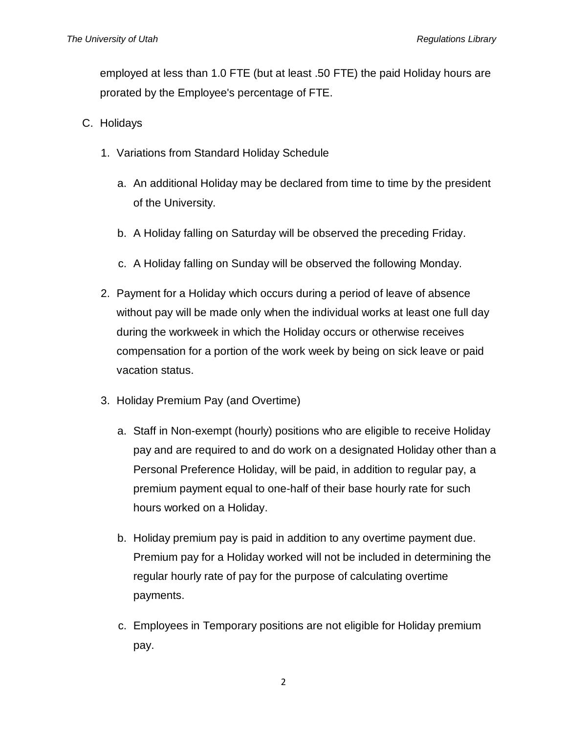employed at less than 1.0 FTE (but at least .50 FTE) the paid Holiday hours are prorated by the Employee's percentage of FTE.

- C. Holidays
	- 1. Variations from Standard Holiday Schedule
		- a. An additional Holiday may be declared from time to time by the president of the University.
		- b. A Holiday falling on Saturday will be observed the preceding Friday.
		- c. A Holiday falling on Sunday will be observed the following Monday.
	- 2. Payment for a Holiday which occurs during a period of leave of absence without pay will be made only when the individual works at least one full day during the workweek in which the Holiday occurs or otherwise receives compensation for a portion of the work week by being on sick leave or paid vacation status.
	- 3. Holiday Premium Pay (and Overtime)
		- a. Staff in Non-exempt (hourly) positions who are eligible to receive Holiday pay and are required to and do work on a designated Holiday other than a Personal Preference Holiday, will be paid, in addition to regular pay, a premium payment equal to one-half of their base hourly rate for such hours worked on a Holiday.
		- b. Holiday premium pay is paid in addition to any overtime payment due. Premium pay for a Holiday worked will not be included in determining the regular hourly rate of pay for the purpose of calculating overtime payments.
		- c. Employees in Temporary positions are not eligible for Holiday premium pay.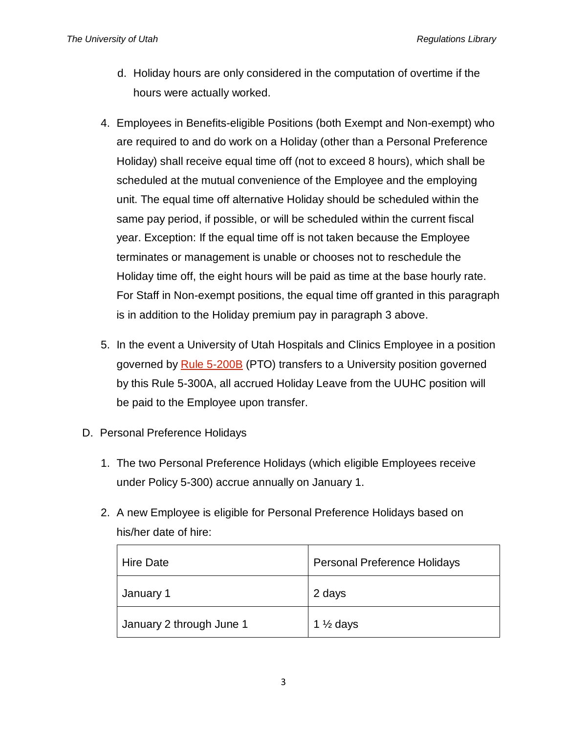- d. Holiday hours are only considered in the computation of overtime if the hours were actually worked.
- 4. Employees in Benefits-eligible Positions (both Exempt and Non-exempt) who are required to and do work on a Holiday (other than a Personal Preference Holiday) shall receive equal time off (not to exceed 8 hours), which shall be scheduled at the mutual convenience of the Employee and the employing unit. The equal time off alternative Holiday should be scheduled within the same pay period, if possible, or will be scheduled within the current fiscal year. Exception: If the equal time off is not taken because the Employee terminates or management is unable or chooses not to reschedule the Holiday time off, the eight hours will be paid as time at the base hourly rate. For Staff in Non-exempt positions, the equal time off granted in this paragraph is in addition to the Holiday premium pay in paragraph 3 above.
- 5. In the event a University of Utah Hospitals and Clinics Employee in a position governed by [Rule 5-200B](http://regulations.utah.edu/human-resources/rules/rule_5-200B.php) (PTO) transfers to a University position governed by this Rule 5-300A, all accrued Holiday Leave from the UUHC position will be paid to the Employee upon transfer.
- D. Personal Preference Holidays
	- 1. The two Personal Preference Holidays (which eligible Employees receive under Policy 5-300) accrue annually on January 1.
	- 2. A new Employee is eligible for Personal Preference Holidays based on his/her date of hire:

| Hire Date                | <b>Personal Preference Holidays</b> |
|--------------------------|-------------------------------------|
| January 1                | 2 days                              |
| January 2 through June 1 | 1 $\frac{1}{2}$ days                |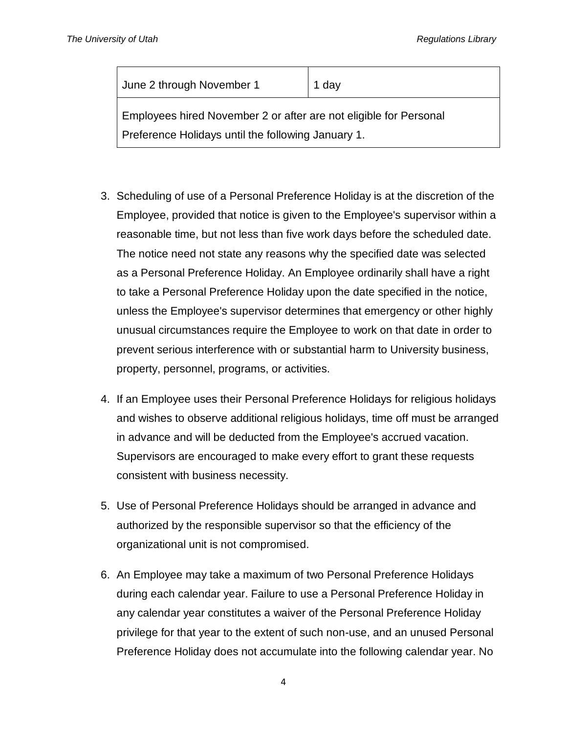| June 2 through November 1                                         | 1 day |  |
|-------------------------------------------------------------------|-------|--|
| Employees hired November 2 or after are not eligible for Personal |       |  |
| Preference Holidays until the following January 1.                |       |  |

- 3. Scheduling of use of a Personal Preference Holiday is at the discretion of the Employee, provided that notice is given to the Employee's supervisor within a reasonable time, but not less than five work days before the scheduled date. The notice need not state any reasons why the specified date was selected as a Personal Preference Holiday. An Employee ordinarily shall have a right to take a Personal Preference Holiday upon the date specified in the notice, unless the Employee's supervisor determines that emergency or other highly unusual circumstances require the Employee to work on that date in order to prevent serious interference with or substantial harm to University business, property, personnel, programs, or activities.
- 4. If an Employee uses their Personal Preference Holidays for religious holidays and wishes to observe additional religious holidays, time off must be arranged in advance and will be deducted from the Employee's accrued vacation. Supervisors are encouraged to make every effort to grant these requests consistent with business necessity.
- 5. Use of Personal Preference Holidays should be arranged in advance and authorized by the responsible supervisor so that the efficiency of the organizational unit is not compromised.
- 6. An Employee may take a maximum of two Personal Preference Holidays during each calendar year. Failure to use a Personal Preference Holiday in any calendar year constitutes a waiver of the Personal Preference Holiday privilege for that year to the extent of such non-use, and an unused Personal Preference Holiday does not accumulate into the following calendar year. No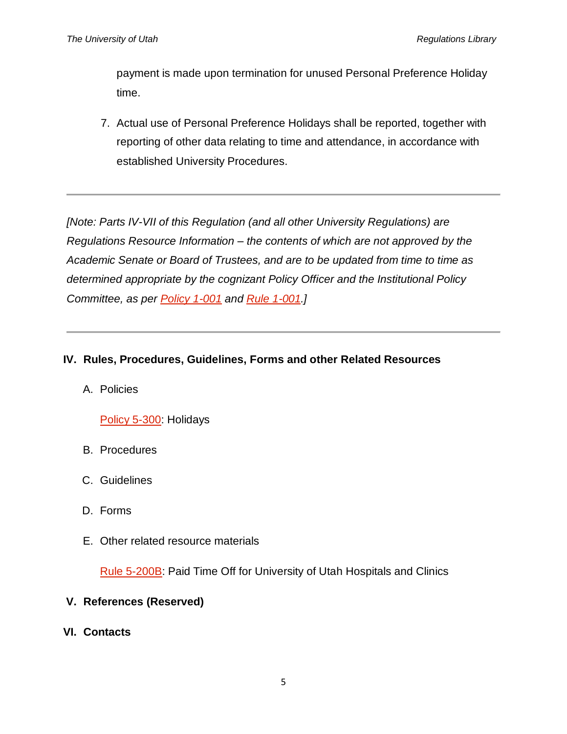payment is made upon termination for unused Personal Preference Holiday time.

7. Actual use of Personal Preference Holidays shall be reported, together with reporting of other data relating to time and attendance, in accordance with established University Procedures.

*[Note: Parts IV-VII of this Regulation (and all other University Regulations) are Regulations Resource Information – the contents of which are not approved by the Academic Senate or Board of Trustees, and are to be updated from time to time as determined appropriate by the cognizant Policy Officer and the Institutional Policy Committee, as per [Policy 1-001](http://www.regulations.utah.edu/general/1-001.html) and [Rule 1-001.](http://www.regulations.utah.edu/general/rules/R1-001.html)]*

#### **IV. Rules, Procedures, Guidelines, Forms and other Related Resources**

A. Policies

#### [Policy 5-300:](http://regulations.utah.edu/human-resources/5-300.php) Holidays

- B. Procedures
- C. Guidelines
- D. Forms
- E. Other related resource materials

[Rule 5-200B:](http://regulations.utah.edu/human-resources/rules/rule_5-200B.php) Paid Time Off for University of Utah Hospitals and Clinics

#### **V. References (Reserved)**

**VI. Contacts**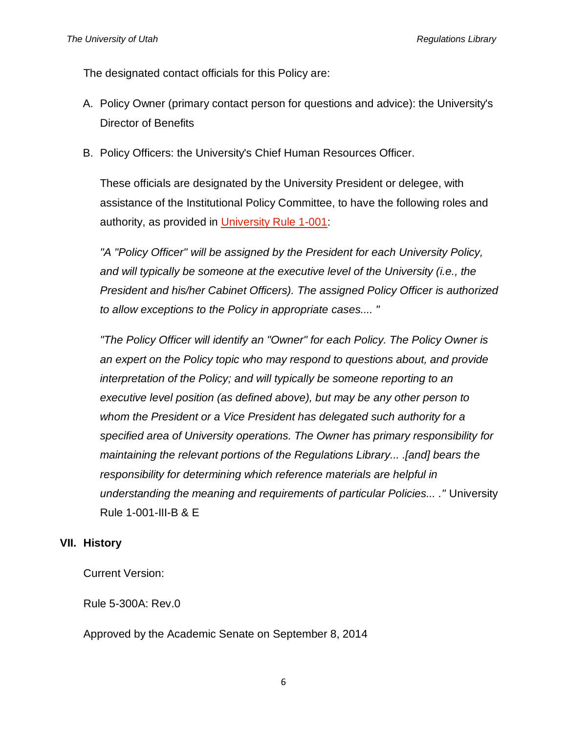The designated contact officials for this Policy are:

- A. Policy Owner (primary contact person for questions and advice): the University's Director of Benefits
- B. Policy Officers: the University's Chief Human Resources Officer.

These officials are designated by the University President or delegee, with assistance of the Institutional Policy Committee, to have the following roles and authority, as provided in [University Rule 1-001:](http://regulations.utah.edu/general/rules/R1-001.php)

*"A "Policy Officer" will be assigned by the President for each University Policy, and will typically be someone at the executive level of the University (i.e., the President and his/her Cabinet Officers). The assigned Policy Officer is authorized to allow exceptions to the Policy in appropriate cases.... "*

*"The Policy Officer will identify an "Owner" for each Policy. The Policy Owner is an expert on the Policy topic who may respond to questions about, and provide interpretation of the Policy; and will typically be someone reporting to an executive level position (as defined above), but may be any other person to whom the President or a Vice President has delegated such authority for a specified area of University operations. The Owner has primary responsibility for maintaining the relevant portions of the Regulations Library... .[and] bears the responsibility for determining which reference materials are helpful in understanding the meaning and requirements of particular Policies... ."* University Rule 1-001-III-B & E

#### **VII. History**

Current Version:

Rule 5-300A: Rev.0

Approved by the Academic Senate on September 8, 2014

6